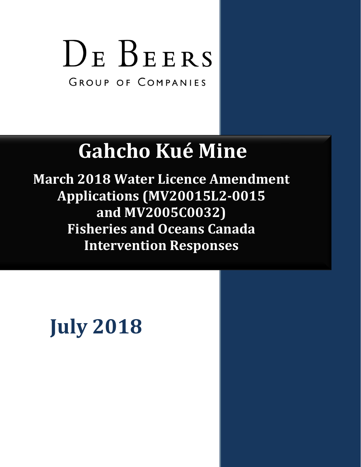# DE BEERS

GROUP OF COMPANIES

# **Gahcho Kué Mine**

**March 2018 Water Licence Amendment Applications (MV20015L2-0015 and MV2005C0032) Fisheries and Oceans Canada Intervention Responses**

# **July 2018**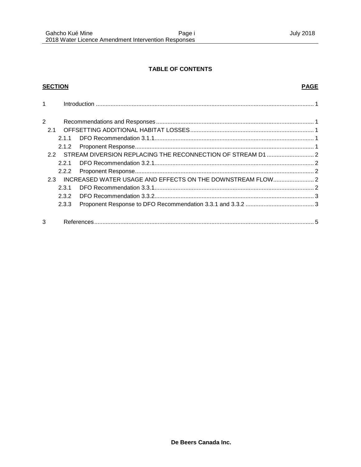#### **TABLE OF CONTENTS**

#### **SECTION**

#### **PAGE**

| 1   |       |  |  |
|-----|-------|--|--|
| 2   |       |  |  |
| 2.1 |       |  |  |
|     | 211   |  |  |
|     | 2.1.2 |  |  |
|     |       |  |  |
|     | 221   |  |  |
|     | 2.2.2 |  |  |
| 2.3 |       |  |  |
|     | 2.3.1 |  |  |
|     | 2.3.2 |  |  |
|     | 2.3.3 |  |  |
| 3   |       |  |  |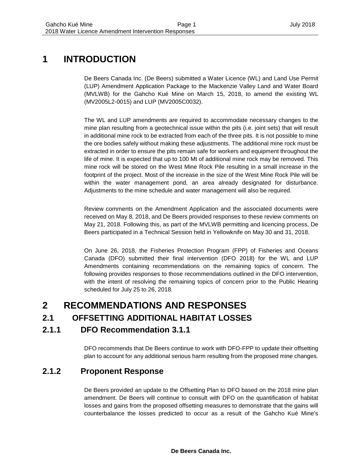## **1 INTRODUCTION**

De Beers Canada Inc. (De Beers) submitted a Water Licence (WL) and Land Use Permit (LUP) Amendment Application Package to the Mackenzie Valley Land and Water Board (MVLWB) for the Gahcho Kué Mine on March 15, 2018, to amend the existing WL (MV2005L2-0015) and LUP (MV2005C0032).

The WL and LUP amendments are required to accommodate necessary changes to the mine plan resulting from a geotechnical issue within the pits (i.e. joint sets) that will result in additional mine rock to be extracted from each of the three pits. It is not possible to mine the ore bodies safely without making these adjustments. The additional mine rock must be extracted in order to ensure the pits remain safe for workers and equipment throughout the life of mine. It is expected that up to 100 Mt of additional mine rock may be removed. This mine rock will be stored on the West Mine Rock Pile resulting in a small increase in the footprint of the project. Most of the increase in the size of the West Mine Rock Pile will be within the water management pond, an area already designated for disturbance. Adjustments to the mine schedule and water management will also be required.

Review comments on the Amendment Application and the associated documents were received on May 8, 2018, and De Beers provided responses to these review comments on May 21, 2018. Following this, as part of the MVLWB permitting and licencing process, De Beers participated in a Technical Session held in Yellowknife on May 30 and 31, 2018.

On June 26, 2018, the Fisheries Protection Program (FPP) of Fisheries and Oceans Canada (DFO) submitted their final intervention (DFO 2018) for the WL and LUP Amendments containing recommendations on the remaining topics of concern. The following provides responses to those recommendations outlined in the DFO intervention, with the intent of resolving the remaining topics of concern prior to the Public Hearing scheduled for July 25 to 26, 2018.

### **2 RECOMMENDATIONS AND RESPONSES**

#### **2.1 OFFSETTING ADDITIONAL HABITAT LOSSES**

#### **2.1.1 DFO Recommendation 3.1.1**

DFO recommends that De Beers continue to work with DFO-FPP to update their offsetting plan to account for any additional serious harm resulting from the proposed mine changes.

#### **2.1.2 Proponent Response**

De Beers provided an update to the Offsetting Plan to DFO based on the 2018 mine plan amendment. De Beers will continue to consult with DFO on the quantification of habitat losses and gains from the proposed offsetting measures to demonstrate that the gains will counterbalance the losses predicted to occur as a result of the Gahcho Kué Mine's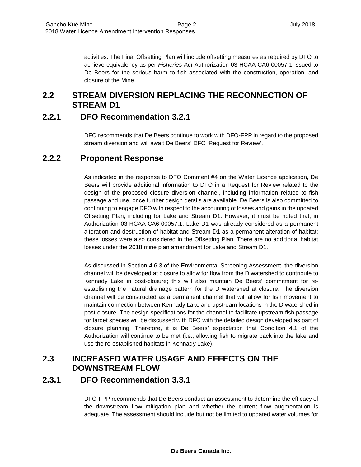activities. The Final Offsetting Plan will include offsetting measures as required by DFO to achieve equivalency as per *Fisheries Act* Authorization 03-HCAA-CA6-00057.1 issued to De Beers for the serious harm to fish associated with the construction, operation, and closure of the Mine.

#### **2.2 STREAM DIVERSION REPLACING THE RECONNECTION OF STREAM D1**

#### **2.2.1 DFO Recommendation 3.2.1**

DFO recommends that De Beers continue to work with DFO-FPP in regard to the proposed stream diversion and will await De Beers' DFO 'Request for Review'.

#### **2.2.2 Proponent Response**

As indicated in the response to DFO Comment #4 on the Water Licence application, De Beers will provide additional information to DFO in a Request for Review related to the design of the proposed closure diversion channel, including information related to fish passage and use, once further design details are available. De Beers is also committed to continuing to engage DFO with respect to the accounting of losses and gains in the updated Offsetting Plan, including for Lake and Stream D1. However, it must be noted that, in Authorization 03-HCAA-CA6-00057.1, Lake D1 was already considered as a permanent alteration and destruction of habitat and Stream D1 as a permanent alteration of habitat; these losses were also considered in the Offsetting Plan. There are no additional habitat losses under the 2018 mine plan amendment for Lake and Stream D1.

As discussed in Section 4.6.3 of the Environmental Screening Assessment, the diversion channel will be developed at closure to allow for flow from the D watershed to contribute to Kennady Lake in post-closure; this will also maintain De Beers' commitment for reestablishing the natural drainage pattern for the D watershed at closure. The diversion channel will be constructed as a permanent channel that will allow for fish movement to maintain connection between Kennady Lake and upstream locations in the D watershed in post-closure. The design specifications for the channel to facilitate upstream fish passage for target species will be discussed with DFO with the detailed design developed as part of closure planning. Therefore, it is De Beers' expectation that Condition 4.1 of the Authorization will continue to be met (i.e., allowing fish to migrate back into the lake and use the re-established habitats in Kennady Lake).

#### **2.3 INCREASED WATER USAGE AND EFFECTS ON THE DOWNSTREAM FLOW**

#### **2.3.1 DFO Recommendation 3.3.1**

DFO-FPP recommends that De Beers conduct an assessment to determine the efficacy of the downstream flow mitigation plan and whether the current flow augmentation is adequate. The assessment should include but not be limited to updated water volumes for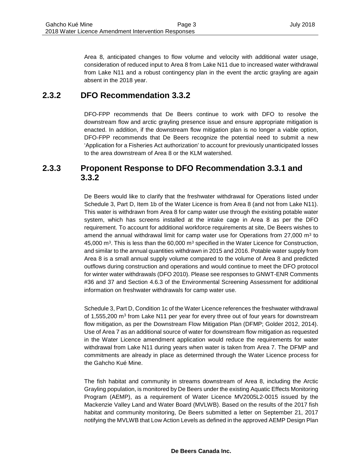Area 8, anticipated changes to flow volume and velocity with additional water usage, consideration of reduced input to Area 8 from Lake N11 due to increased water withdrawal from Lake N11 and a robust contingency plan in the event the arctic grayling are again absent in the 2018 year.

#### **2.3.2 DFO Recommendation 3.3.2**

DFO-FPP recommends that De Beers continue to work with DFO to resolve the downstream flow and arctic grayling presence issue and ensure appropriate mitigation is enacted. In addition, if the downstream flow mitigation plan is no longer a viable option, DFO-FPP recommends that De Beers recognize the potential need to submit a new 'Application for a Fisheries Act authorization' to account for previously unanticipated losses to the area downstream of Area 8 or the KLM watershed.

#### **2.3.3 Proponent Response to DFO Recommendation 3.3.1 and 3.3.2**

De Beers would like to clarify that the freshwater withdrawal for Operations listed under Schedule 3, Part D, Item 1b of the Water Licence is from Area 8 (and not from Lake N11). This water is withdrawn from Area 8 for camp water use through the existing potable water system, which has screens installed at the intake cage in Area 8 as per the DFO requirement. To account for additional workforce requirements at site, De Beers wishes to amend the annual withdrawal limit for camp water use for Operations from  $27,000$  m<sup>3</sup> to 45,000  $\text{m}^3$ . This is less than the 60,000  $\text{m}^3$  specified in the Water Licence for Construction, and similar to the annual quantities withdrawn in 2015 and 2016. Potable water supply from Area 8 is a small annual supply volume compared to the volume of Area 8 and predicted outflows during construction and operations and would continue to meet the DFO protocol for winter water withdrawals (DFO 2010). Please see responses to GNWT-ENR Comments #36 and 37 and Section 4.6.3 of the Environmental Screening Assessment for additional information on freshwater withdrawals for camp water use.

Schedule 3, Part D, Condition 1c of the Water Licence references the freshwater withdrawal of 1,555,200  $\text{m}^3$  from Lake N11 per year for every three out of four years for downstream flow mitigation, as per the Downstream Flow Mitigation Plan (DFMP; Golder 2012, 2014). Use of Area 7 as an additional source of water for downstream flow mitigation as requested in the Water Licence amendment application would reduce the requirements for water withdrawal from Lake N11 during years when water is taken from Area 7. The DFMP and commitments are already in place as determined through the Water Licence process for the Gahcho Kué Mine.

The fish habitat and community in streams downstream of Area 8, including the Arctic Grayling population, is monitored by De Beers under the existing Aquatic Effects Monitoring Program (AEMP), as a requirement of Water Licence MV2005L2-0015 issued by the Mackenzie Valley Land and Water Board (MVLWB). Based on the results of the 2017 fish habitat and community monitoring, De Beers submitted a letter on September 21, 2017 notifying the MVLWB that Low Action Levels as defined in the approved AEMP Design Plan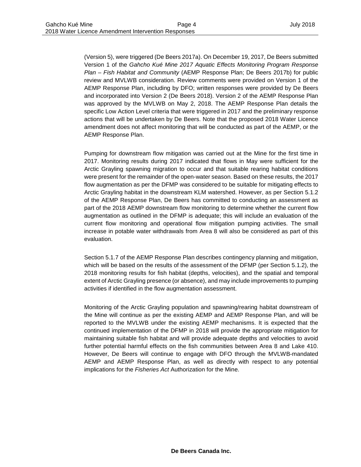(Version 5), were triggered (De Beers 2017a). On December 19, 2017, De Beers submitted Version 1 of the *Gahcho Kué Mine 2017 Aquatic Effects Monitoring Program Response Plan – Fish Habitat and Community* (AEMP Response Plan; De Beers 2017b) for public review and MVLWB consideration. Review comments were provided on Version 1 of the AEMP Response Plan, including by DFO; written responses were provided by De Beers and incorporated into Version 2 (De Beers 2018). Version 2 of the AEMP Response Plan was approved by the MVLWB on May 2, 2018. The AEMP Response Plan details the specific Low Action Level criteria that were triggered in 2017 and the preliminary response actions that will be undertaken by De Beers. Note that the proposed 2018 Water Licence amendment does not affect monitoring that will be conducted as part of the AEMP, or the AEMP Response Plan.

Pumping for downstream flow mitigation was carried out at the Mine for the first time in 2017. Monitoring results during 2017 indicated that flows in May were sufficient for the Arctic Grayling spawning migration to occur and that suitable rearing habitat conditions were present for the remainder of the open-water season. Based on these results, the 2017 flow augmentation as per the DFMP was considered to be suitable for mitigating effects to Arctic Grayling habitat in the downstream KLM watershed. However, as per Section 5.1.2 of the AEMP Response Plan, De Beers has committed to conducting an assessment as part of the 2018 AEMP downstream flow monitoring to determine whether the current flow augmentation as outlined in the DFMP is adequate; this will include an evaluation of the current flow monitoring and operational flow mitigation pumping activities. The small increase in potable water withdrawals from Area 8 will also be considered as part of this evaluation.

Section 5.1.7 of the AEMP Response Plan describes contingency planning and mitigation, which will be based on the results of the assessment of the DFMP (per Section 5.1.2), the 2018 monitoring results for fish habitat (depths, velocities), and the spatial and temporal extent of Arctic Grayling presence (or absence), and may include improvements to pumping activities if identified in the flow augmentation assessment.

Monitoring of the Arctic Grayling population and spawning/rearing habitat downstream of the Mine will continue as per the existing AEMP and AEMP Response Plan, and will be reported to the MVLWB under the existing AEMP mechanisms. It is expected that the continued implementation of the DFMP in 2018 will provide the appropriate mitigation for maintaining suitable fish habitat and will provide adequate depths and velocities to avoid further potential harmful effects on the fish communities between Area 8 and Lake 410. However, De Beers will continue to engage with DFO through the MVLWB-mandated AEMP and AEMP Response Plan, as well as directly with respect to any potential implications for the *Fisheries Act* Authorization for the Mine.